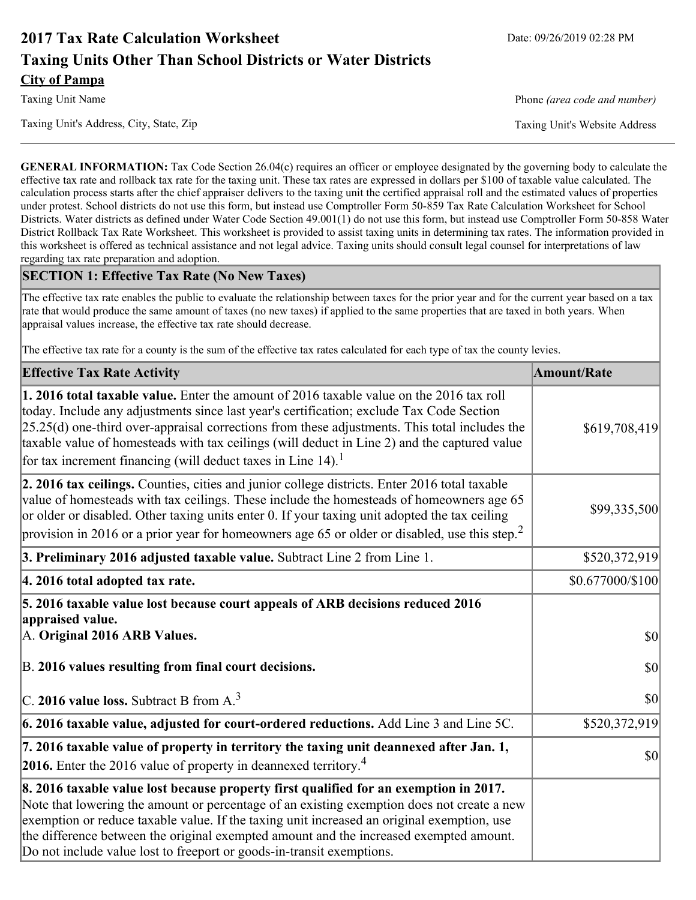# **2017 Tax Rate Calculation Worksheet** Date: 09/26/2019 02:28 PM **Taxing Units Other Than School Districts or Water Districts City of Pampa**

Taxing Unit Name **Phone** *(area code and number)* Phone *(area code and number)* 

Taxing Unit's Address, City, State, Zip Taxing Unit's Website Address

**GENERAL INFORMATION:** Tax Code Section 26.04(c) requires an officer or employee designated by the governing body to calculate the effective tax rate and rollback tax rate for the taxing unit. These tax rates are expressed in dollars per \$100 of taxable value calculated. The calculation process starts after the chief appraiser delivers to the taxing unit the certified appraisal roll and the estimated values of properties under protest. School districts do not use this form, but instead use Comptroller Form 50-859 Tax Rate Calculation Worksheet for School Districts. Water districts as defined under Water Code Section 49.001(1) do not use this form, but instead use Comptroller Form 50-858 Water District Rollback Tax Rate Worksheet. This worksheet is provided to assist taxing units in determining tax rates. The information provided in this worksheet is offered as technical assistance and not legal advice. Taxing units should consult legal counsel for interpretations of law regarding tax rate preparation and adoption.

### **SECTION 1: Effective Tax Rate (No New Taxes)**

The effective tax rate enables the public to evaluate the relationship between taxes for the prior year and for the current year based on a tax rate that would produce the same amount of taxes (no new taxes) if applied to the same properties that are taxed in both years. When appraisal values increase, the effective tax rate should decrease.

The effective tax rate for a county is the sum of the effective tax rates calculated for each type of tax the county levies.

| <b>Effective Tax Rate Activity</b>                                                                                                                                                                                                                                                                                                                                                                                                                                             | <b>Amount/Rate</b> |
|--------------------------------------------------------------------------------------------------------------------------------------------------------------------------------------------------------------------------------------------------------------------------------------------------------------------------------------------------------------------------------------------------------------------------------------------------------------------------------|--------------------|
| <b>1. 2016 total taxable value.</b> Enter the amount of 2016 taxable value on the 2016 tax roll<br>today. Include any adjustments since last year's certification; exclude Tax Code Section<br>$[25.25(d)$ one-third over-appraisal corrections from these adjustments. This total includes the<br>taxable value of homesteads with tax ceilings (will deduct in Line 2) and the captured value<br>for tax increment financing (will deduct taxes in Line $14$ ). <sup>1</sup> | \$619,708,419      |
| 2. 2016 tax ceilings. Counties, cities and junior college districts. Enter 2016 total taxable<br>value of homesteads with tax ceilings. These include the homesteads of homeowners age 65<br>or older or disabled. Other taxing units enter 0. If your taxing unit adopted the tax ceiling<br>provision in 2016 or a prior year for homeowners age 65 or older or disabled, use this step. <sup>2</sup>                                                                        | \$99,335,500       |
| 3. Preliminary 2016 adjusted taxable value. Subtract Line 2 from Line 1.                                                                                                                                                                                                                                                                                                                                                                                                       | \$520,372,919      |
| 4. 2016 total adopted tax rate.                                                                                                                                                                                                                                                                                                                                                                                                                                                | \$0.677000/\$100   |
| 5. 2016 taxable value lost because court appeals of ARB decisions reduced 2016<br>appraised value.<br>A. Original 2016 ARB Values.                                                                                                                                                                                                                                                                                                                                             | $ 10\rangle$       |
| B. 2016 values resulting from final court decisions.                                                                                                                                                                                                                                                                                                                                                                                                                           | \$0                |
| C. 2016 value loss. Subtract B from $A3$                                                                                                                                                                                                                                                                                                                                                                                                                                       | 30                 |
| 6. 2016 taxable value, adjusted for court-ordered reductions. Add Line 3 and Line 5C.                                                                                                                                                                                                                                                                                                                                                                                          | \$520,372,919      |
| 7. 2016 taxable value of property in territory the taxing unit deannexed after Jan. 1,<br><b>2016.</b> Enter the 2016 value of property in deannexed territory. <sup>4</sup>                                                                                                                                                                                                                                                                                                   | $ 10\rangle$       |
| 8. 2016 taxable value lost because property first qualified for an exemption in 2017.<br>Note that lowering the amount or percentage of an existing exemption does not create a new<br>exemption or reduce taxable value. If the taxing unit increased an original exemption, use<br>the difference between the original exempted amount and the increased exempted amount.<br>Do not include value lost to freeport or goods-in-transit exemptions.                           |                    |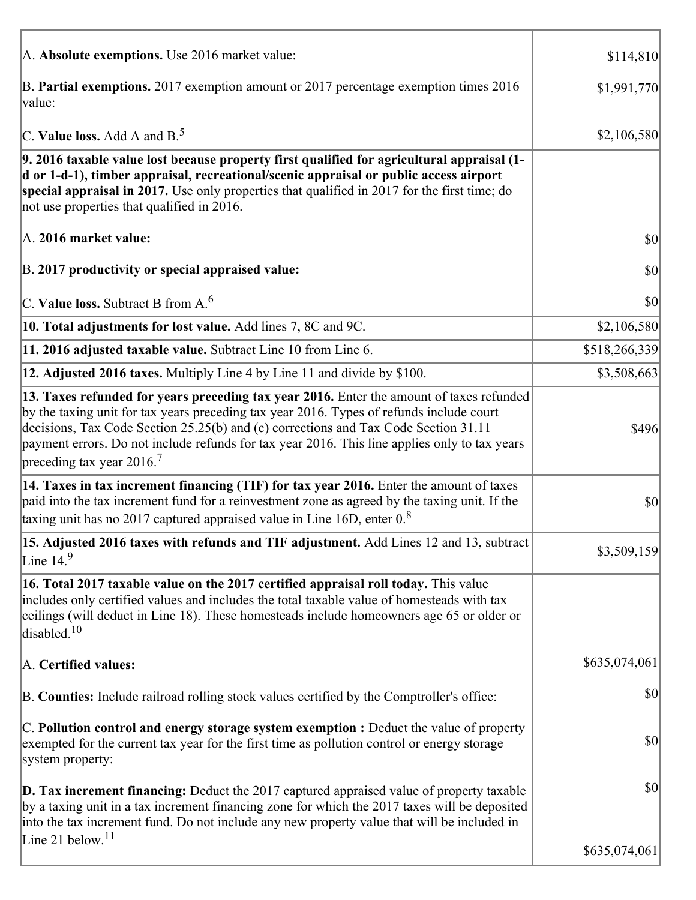| A. Absolute exemptions. Use 2016 market value:                                                                                                                                                                                                                                                                                                                                                                           | \$114,810      |
|--------------------------------------------------------------------------------------------------------------------------------------------------------------------------------------------------------------------------------------------------------------------------------------------------------------------------------------------------------------------------------------------------------------------------|----------------|
| B. Partial exemptions. 2017 exemption amount or 2017 percentage exemption times 2016<br>value:                                                                                                                                                                                                                                                                                                                           | \$1,991,770    |
| C. Value loss. Add A and $B^5$                                                                                                                                                                                                                                                                                                                                                                                           | \$2,106,580    |
| 9. 2016 taxable value lost because property first qualified for agricultural appraisal (1-<br>d or 1-d-1), timber appraisal, recreational/scenic appraisal or public access airport<br>special appraisal in 2017. Use only properties that qualified in 2017 for the first time; do<br>not use properties that qualified in 2016.                                                                                        |                |
| A. 2016 market value:                                                                                                                                                                                                                                                                                                                                                                                                    | \$0            |
| B. 2017 productivity or special appraised value:                                                                                                                                                                                                                                                                                                                                                                         | $ 10\rangle$   |
| $ C$ . Value loss. Subtract B from A. $^6$                                                                                                                                                                                                                                                                                                                                                                               | $ 10\rangle$   |
| 10. Total adjustments for lost value. Add lines 7, 8C and 9C.                                                                                                                                                                                                                                                                                                                                                            | \$2,106,580    |
| 11. 2016 adjusted taxable value. Subtract Line 10 from Line 6.                                                                                                                                                                                                                                                                                                                                                           | \$518,266,339  |
| 12. Adjusted 2016 taxes. Multiply Line 4 by Line 11 and divide by \$100.                                                                                                                                                                                                                                                                                                                                                 | \$3,508,663    |
| 13. Taxes refunded for years preceding tax year 2016. Enter the amount of taxes refunded<br>by the taxing unit for tax years preceding tax year 2016. Types of refunds include court<br>decisions, Tax Code Section 25.25(b) and (c) corrections and Tax Code Section 31.11<br>payment errors. Do not include refunds for tax year 2016. This line applies only to tax years<br>preceding tax year $2016$ . <sup>7</sup> | \$496          |
| 14. Taxes in tax increment financing (TIF) for tax year 2016. Enter the amount of taxes<br>paid into the tax increment fund for a reinvestment zone as agreed by the taxing unit. If the<br>taxing unit has no 2017 captured appraised value in Line 16D, enter $0.8$                                                                                                                                                    | $ 10\rangle$   |
| 15. Adjusted 2016 taxes with refunds and TIF adjustment. Add Lines 12 and 13, subtract<br>Line $149$                                                                                                                                                                                                                                                                                                                     | \$3,509,159    |
| 16. Total 2017 taxable value on the 2017 certified appraisal roll today. This value<br>includes only certified values and includes the total taxable value of homesteads with tax<br>ceilings (will deduct in Line 18). These homesteads include homeowners age 65 or older or<br>disabled. <sup>10</sup>                                                                                                                |                |
| A. Certified values:                                                                                                                                                                                                                                                                                                                                                                                                     | \$635,074,061  |
| B. Counties: Include railroad rolling stock values certified by the Comptroller's office:                                                                                                                                                                                                                                                                                                                                | \$0            |
| C. Pollution control and energy storage system exemption : Deduct the value of property<br>exempted for the current tax year for the first time as pollution control or energy storage<br>system property:                                                                                                                                                                                                               | \$0            |
| $\vert$ D. Tax increment financing: Deduct the 2017 captured appraised value of property taxable<br>by a taxing unit in a tax increment financing zone for which the 2017 taxes will be deposited<br>into the tax increment fund. Do not include any new property value that will be included in                                                                                                                         | \$0            |
| Line 21 below. $11$                                                                                                                                                                                                                                                                                                                                                                                                      | \$635,074,061] |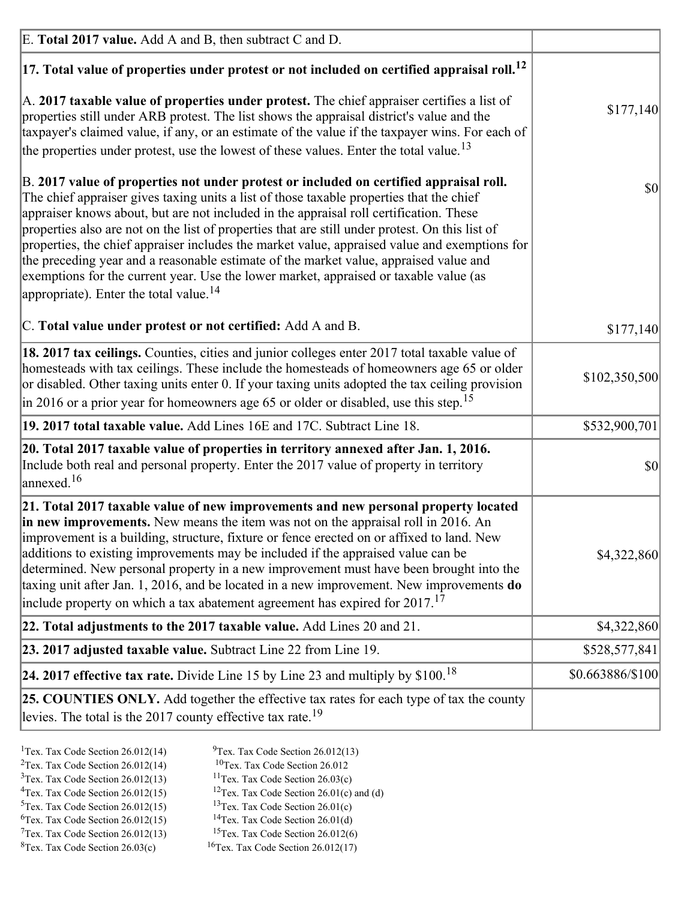| E. Total 2017 value. Add A and B, then subtract C and D.                                                                                                                                                                                                                                                                                                                                                                                                                                                                                                                                                                                                                                                                 |                  |
|--------------------------------------------------------------------------------------------------------------------------------------------------------------------------------------------------------------------------------------------------------------------------------------------------------------------------------------------------------------------------------------------------------------------------------------------------------------------------------------------------------------------------------------------------------------------------------------------------------------------------------------------------------------------------------------------------------------------------|------------------|
| $ 17$ . Total value of properties under protest or not included on certified appraisal roll. <sup>12</sup>                                                                                                                                                                                                                                                                                                                                                                                                                                                                                                                                                                                                               |                  |
| A. 2017 taxable value of properties under protest. The chief appraiser certifies a list of<br>properties still under ARB protest. The list shows the appraisal district's value and the<br>taxpayer's claimed value, if any, or an estimate of the value if the taxpayer wins. For each of<br>the properties under protest, use the lowest of these values. Enter the total value. <sup>13</sup>                                                                                                                                                                                                                                                                                                                         | \$177,140        |
| B. 2017 value of properties not under protest or included on certified appraisal roll.<br>The chief appraiser gives taxing units a list of those taxable properties that the chief<br>appraiser knows about, but are not included in the appraisal roll certification. These<br>properties also are not on the list of properties that are still under protest. On this list of<br>properties, the chief appraiser includes the market value, appraised value and exemptions for<br>the preceding year and a reasonable estimate of the market value, appraised value and<br>exemptions for the current year. Use the lower market, appraised or taxable value (as<br>appropriate). Enter the total value. <sup>14</sup> | $ 10\rangle$     |
| C. Total value under protest or not certified: Add A and B.                                                                                                                                                                                                                                                                                                                                                                                                                                                                                                                                                                                                                                                              | \$177,140        |
| 18. 2017 tax ceilings. Counties, cities and junior colleges enter 2017 total taxable value of<br>homesteads with tax ceilings. These include the homesteads of homeowners age 65 or older<br>or disabled. Other taxing units enter 0. If your taxing units adopted the tax ceiling provision<br>$\vert$ in 2016 or a prior year for homeowners age 65 or older or disabled, use this step. <sup>15</sup>                                                                                                                                                                                                                                                                                                                 | \$102,350,500    |
| 19. 2017 total taxable value. Add Lines 16E and 17C. Subtract Line 18.                                                                                                                                                                                                                                                                                                                                                                                                                                                                                                                                                                                                                                                   | \$532,900,701    |
| 20. Total 2017 taxable value of properties in territory annexed after Jan. 1, 2016.<br>Include both real and personal property. Enter the 2017 value of property in territory<br>annexed. <sup>16</sup>                                                                                                                                                                                                                                                                                                                                                                                                                                                                                                                  | $ 10\rangle$     |
| 21. Total 2017 taxable value of new improvements and new personal property located<br>in new improvements. New means the item was not on the appraisal roll in 2016. An<br>improvement is a building, structure, fixture or fence erected on or affixed to land. New<br>additions to existing improvements may be included if the appraised value can be<br>determined. New personal property in a new improvement must have been brought into the<br>taxing unit after Jan. 1, 2016, and be located in a new improvement. New improvements do<br>include property on which a tax abatement agreement has expired for $2017$ . <sup>17</sup>                                                                             | \$4,322,860      |
| 22. Total adjustments to the 2017 taxable value. Add Lines 20 and 21.                                                                                                                                                                                                                                                                                                                                                                                                                                                                                                                                                                                                                                                    | \$4,322,860      |
| $ 23. 2017$ adjusted taxable value. Subtract Line 22 from Line 19.                                                                                                                                                                                                                                                                                                                                                                                                                                                                                                                                                                                                                                                       | \$528,577,841    |
| 24. 2017 effective tax rate. Divide Line 15 by Line 23 and multiply by $$100$ . <sup>18</sup>                                                                                                                                                                                                                                                                                                                                                                                                                                                                                                                                                                                                                            | \$0.663886/\$100 |
| <b>25. COUNTIES ONLY.</b> Add together the effective tax rates for each type of tax the county<br>levies. The total is the 2017 county effective tax rate. <sup>19</sup>                                                                                                                                                                                                                                                                                                                                                                                                                                                                                                                                                 |                  |

- <sup>2</sup>Tex. Tax Code Section 26.012(14)
- <sup>1</sup>Tex. Tax Code Section 26.012(14) <sup>9</sup>Tex. Tax Code Section 26.012(13) <sup>9</sup>Tex. Tax Code Section 26.012
	-
- <sup>3</sup>Tex. Tax Code Section 26.012(13) <sup>11</sup>Tex. Tax Code Section 26.03(c) <sup>4</sup>Tex. Tax Code Section 26.01(c) and <sup>12</sup>Tex. Tax Code Section 26.01(c) and <sup>12</sup>Tex. Tax Code Section 26.01(c) and <sup>12</sup>Tex. Tax Code Section 26.01(c)
	- <sup>12</sup>Tex. Tax Code Section 26.01(c) and (d)
	-
- <sup>5</sup>Tex. Tax Code Section 26.012(15) <sup>13</sup>Tex. Tax Code Section 26.01(c) <sup>6</sup>Tex. Tax Code Section 26.01(d) <sup>6</sup>Tex. Tax Code Section 26.012(15) <sup>14</sup>Tex. Tax Code Section 26.01(d)<sup>7</sup>Tex. Tax Code Section 26.012(6)
- $7$ Tex. Tax Code Section 26.012(13)
- 
- 
- ${}^{8}$ Tex. Tax Code Section 26.03(c)  ${}^{16}$ Tex. Tax Code Section 26.012(17)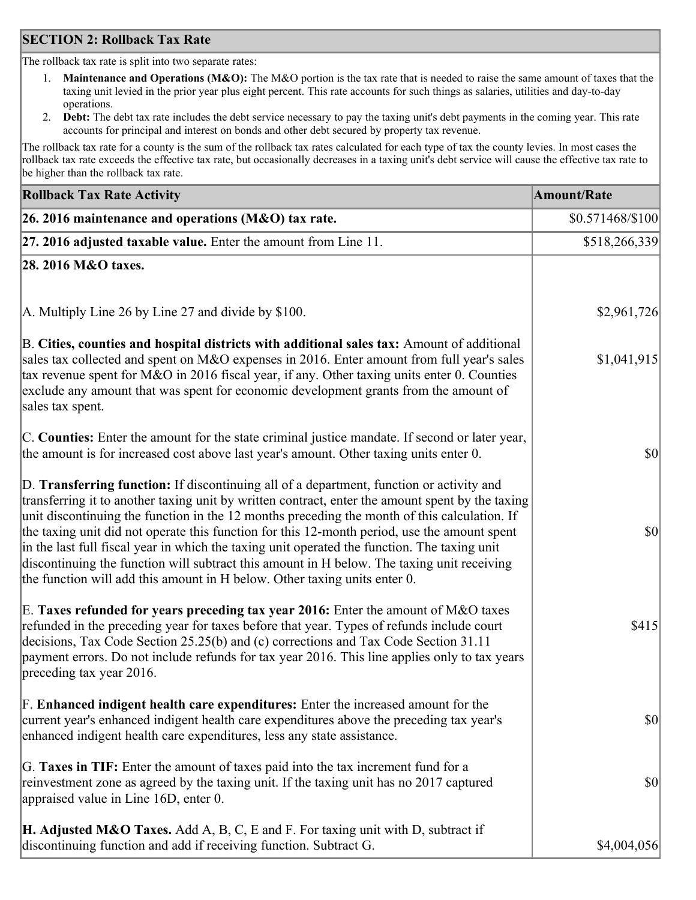### **SECTION 2: Rollback Tax Rate**

The rollback tax rate is split into two separate rates:

- 1. **Maintenance and Operations (M&O):** The M&O portion is the tax rate that is needed to raise the same amount of taxes that the taxing unit levied in the prior year plus eight percent. This rate accounts for such things as salaries, utilities and day-to-day operations.
- 2. **Debt:** The debt tax rate includes the debt service necessary to pay the taxing unit's debt payments in the coming year. This rate accounts for principal and interest on bonds and other debt secured by property tax revenue.

The rollback tax rate for a county is the sum of the rollback tax rates calculated for each type of tax the county levies. In most cases the rollback tax rate exceeds the effective tax rate, but occasionally decreases in a taxing unit's debt service will cause the effective tax rate to be higher than the rollback tax rate.

| <b>Rollback Tax Rate Activity</b>                                                                                                                                                                                                                                                                                                                                                                                                                                                                                                                                                                                                                                       | <b>Amount/Rate</b> |
|-------------------------------------------------------------------------------------------------------------------------------------------------------------------------------------------------------------------------------------------------------------------------------------------------------------------------------------------------------------------------------------------------------------------------------------------------------------------------------------------------------------------------------------------------------------------------------------------------------------------------------------------------------------------------|--------------------|
| 26. 2016 maintenance and operations (M&O) tax rate.                                                                                                                                                                                                                                                                                                                                                                                                                                                                                                                                                                                                                     | $$0.571468/\$100$  |
| $ 27.2016$ adjusted taxable value. Enter the amount from Line 11.                                                                                                                                                                                                                                                                                                                                                                                                                                                                                                                                                                                                       | \$518,266,339      |
| 28. 2016 M&O taxes.                                                                                                                                                                                                                                                                                                                                                                                                                                                                                                                                                                                                                                                     |                    |
|                                                                                                                                                                                                                                                                                                                                                                                                                                                                                                                                                                                                                                                                         |                    |
| A. Multiply Line 26 by Line 27 and divide by \$100.                                                                                                                                                                                                                                                                                                                                                                                                                                                                                                                                                                                                                     | \$2,961,726        |
| B. Cities, counties and hospital districts with additional sales tax: Amount of additional<br>sales tax collected and spent on M&O expenses in 2016. Enter amount from full year's sales<br>tax revenue spent for M&O in 2016 fiscal year, if any. Other taxing units enter 0. Counties<br>exclude any amount that was spent for economic development grants from the amount of<br>sales tax spent.                                                                                                                                                                                                                                                                     | \$1,041,915        |
| C. Counties: Enter the amount for the state criminal justice mandate. If second or later year,<br>the amount is for increased cost above last year's amount. Other taxing units enter 0.                                                                                                                                                                                                                                                                                                                                                                                                                                                                                | $ 10\rangle$       |
| D. Transferring function: If discontinuing all of a department, function or activity and<br>transferring it to another taxing unit by written contract, enter the amount spent by the taxing<br>unit discontinuing the function in the 12 months preceding the month of this calculation. If<br>the taxing unit did not operate this function for this 12-month period, use the amount spent<br>in the last full fiscal year in which the taxing unit operated the function. The taxing unit<br>discontinuing the function will subtract this amount in H below. The taxing unit receiving<br>the function will add this amount in H below. Other taxing units enter 0. | $ 10\rangle$       |
| E. Taxes refunded for years preceding tax year 2016: Enter the amount of M&O taxes<br>refunded in the preceding year for taxes before that year. Types of refunds include court<br>decisions, Tax Code Section 25.25(b) and (c) corrections and Tax Code Section 31.11<br>payment errors. Do not include refunds for tax year 2016. This line applies only to tax years<br>preceding tax year 2016.                                                                                                                                                                                                                                                                     | \$415              |
| F. Enhanced indigent health care expenditures: Enter the increased amount for the<br>current year's enhanced indigent health care expenditures above the preceding tax year's<br>enhanced indigent health care expenditures, less any state assistance.                                                                                                                                                                                                                                                                                                                                                                                                                 | $ 10\rangle$       |
| G. Taxes in TIF: Enter the amount of taxes paid into the tax increment fund for a<br>reinvestment zone as agreed by the taxing unit. If the taxing unit has no 2017 captured<br>appraised value in Line 16D, enter 0.                                                                                                                                                                                                                                                                                                                                                                                                                                                   | $ 10\rangle$       |
| <b>H. Adjusted M&amp;O Taxes.</b> Add A, B, C, E and F. For taxing unit with D, subtract if<br>discontinuing function and add if receiving function. Subtract G.                                                                                                                                                                                                                                                                                                                                                                                                                                                                                                        | \$4,004,056        |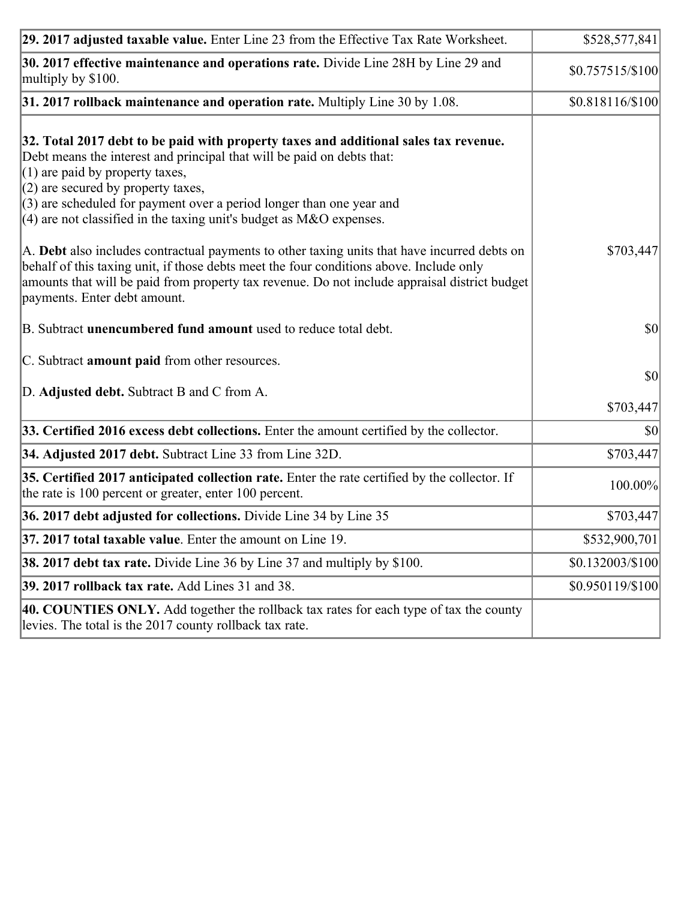| 29. 2017 adjusted taxable value. Enter Line 23 from the Effective Tax Rate Worksheet.                                                                                                                                                                                                                                                                                                          | \$528,577,841    |
|------------------------------------------------------------------------------------------------------------------------------------------------------------------------------------------------------------------------------------------------------------------------------------------------------------------------------------------------------------------------------------------------|------------------|
| 30. 2017 effective maintenance and operations rate. Divide Line 28H by Line 29 and<br>multiply by \$100.                                                                                                                                                                                                                                                                                       | \$0.757515/\$100 |
| $31.2017$ rollback maintenance and operation rate. Multiply Line 30 by 1.08.                                                                                                                                                                                                                                                                                                                   | \$0.818116/\$100 |
| 32. Total 2017 debt to be paid with property taxes and additional sales tax revenue.<br>Debt means the interest and principal that will be paid on debts that:<br>$(1)$ are paid by property taxes,<br>$(2)$ are secured by property taxes,<br>$(3)$ are scheduled for payment over a period longer than one year and<br>$(4)$ are not classified in the taxing unit's budget as M&O expenses. |                  |
| A. Debt also includes contractual payments to other taxing units that have incurred debts on<br>behalf of this taxing unit, if those debts meet the four conditions above. Include only<br>amounts that will be paid from property tax revenue. Do not include appraisal district budget<br>payments. Enter debt amount.                                                                       | \$703,447        |
| B. Subtract <b>unencumbered fund amount</b> used to reduce total debt.                                                                                                                                                                                                                                                                                                                         | \$0              |
| C. Subtract amount paid from other resources.                                                                                                                                                                                                                                                                                                                                                  |                  |
| D. Adjusted debt. Subtract B and C from A.                                                                                                                                                                                                                                                                                                                                                     | \$0<br>\$703,447 |
| 33. Certified 2016 excess debt collections. Enter the amount certified by the collector.                                                                                                                                                                                                                                                                                                       | \$0              |
| 34. Adjusted 2017 debt. Subtract Line 33 from Line 32D.                                                                                                                                                                                                                                                                                                                                        | \$703,447        |
| 35. Certified 2017 anticipated collection rate. Enter the rate certified by the collector. If<br>the rate is 100 percent or greater, enter 100 percent.                                                                                                                                                                                                                                        | 100.00%          |
| 36. 2017 debt adjusted for collections. Divide Line 34 by Line 35                                                                                                                                                                                                                                                                                                                              | \$703,447        |
| 37. 2017 total taxable value. Enter the amount on Line 19.                                                                                                                                                                                                                                                                                                                                     | \$532,900,701    |
| <b>38. 2017 debt tax rate.</b> Divide Line 36 by Line 37 and multiply by \$100.                                                                                                                                                                                                                                                                                                                | \$0.132003/\$100 |
| 39. 2017 rollback tax rate. Add Lines 31 and 38.                                                                                                                                                                                                                                                                                                                                               | \$0.950119/\$100 |
| 40. COUNTIES ONLY. Add together the rollback tax rates for each type of tax the county<br>levies. The total is the 2017 county rollback tax rate.                                                                                                                                                                                                                                              |                  |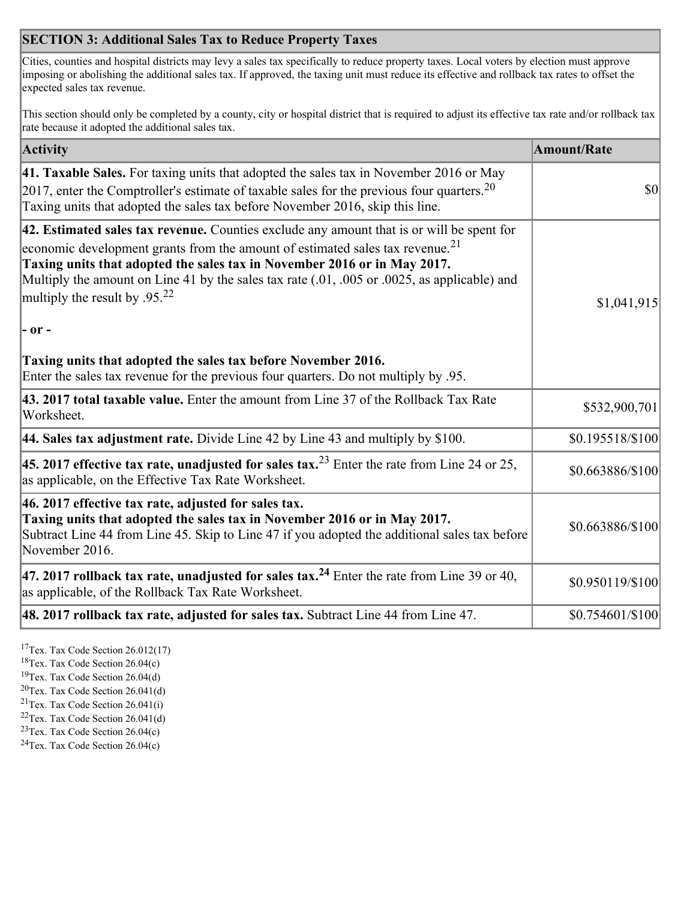## **SECTION 3: Additional Sales Tax to Reduce Property Taxes**

Cities, counties and hospital districts may levy a sales tax specifically to reduce property taxes. Local voters by election must approve imposing or abolishing the additional sales tax. If approved, the taxing unit must reduce its effective and rollback tax rates to offset the expected sales tax revenue.

This section should only be completed by a county, city or hospital district that is required to adjust its effective tax rate and/or rollback tax rate because it adopted the additional sales tax.

| <b>Activity</b>                                                                                                                                                                                                                                                                                                                                                                                                 | <b>Amount/Rate</b>                  |
|-----------------------------------------------------------------------------------------------------------------------------------------------------------------------------------------------------------------------------------------------------------------------------------------------------------------------------------------------------------------------------------------------------------------|-------------------------------------|
| 41. Taxable Sales. For taxing units that adopted the sales tax in November 2016 or May<br>[2017, enter the Comptroller's estimate of taxable sales for the previous four quarters. <sup>20</sup><br>Taxing units that adopted the sales tax before November 2016, skip this line.                                                                                                                               | $\vert \mathbf{S} \mathbf{O} \vert$ |
| 42. Estimated sales tax revenue. Counties exclude any amount that is or will be spent for<br>economic development grants from the amount of estimated sales tax revenue. <sup>21</sup><br>Taxing units that adopted the sales tax in November 2016 or in May 2017.<br>Multiply the amount on Line 41 by the sales tax rate (.01, .005 or .0025, as applicable) and<br>multiply the result by .95. <sup>22</sup> | \$1,041,915                         |
| $ -$ or $-$<br>Taxing units that adopted the sales tax before November 2016.<br>Enter the sales tax revenue for the previous four quarters. Do not multiply by .95.                                                                                                                                                                                                                                             |                                     |
| 43. 2017 total taxable value. Enter the amount from Line 37 of the Rollback Tax Rate<br>Worksheet.                                                                                                                                                                                                                                                                                                              | \$532,900,701                       |
| 44. Sales tax adjustment rate. Divide Line 42 by Line 43 and multiply by $$100$ .                                                                                                                                                                                                                                                                                                                               | \$0.195518/\$100                    |
| 45. 2017 effective tax rate, unadjusted for sales tax. <sup>23</sup> Enter the rate from Line 24 or 25,<br>as applicable, on the Effective Tax Rate Worksheet.                                                                                                                                                                                                                                                  | \$0.663886/\$100                    |
| 46. 2017 effective tax rate, adjusted for sales tax.<br>Taxing units that adopted the sales tax in November 2016 or in May 2017.<br>Subtract Line 44 from Line 45. Skip to Line 47 if you adopted the additional sales tax before<br>November 2016.                                                                                                                                                             | \$0.663886/\$100                    |
| 47. 2017 rollback tax rate, unadjusted for sales tax. <sup>24</sup> Enter the rate from Line 39 or 40,<br>as applicable, of the Rollback Tax Rate Worksheet.                                                                                                                                                                                                                                                    | \$0.950119/\$100                    |
| $ 48.2017$ rollback tax rate, adjusted for sales tax. Subtract Line 44 from Line 47.                                                                                                                                                                                                                                                                                                                            | \$0.754601/\$100                    |

<sup>17</sup>Tex. Tax Code Section 26.012(17)

<sup>18</sup>Tex. Tax Code Section 26.04(c)

<sup>19</sup>Tex. Tax Code Section 26.04(d)

<sup>20</sup>Tex. Tax Code Section 26.041(d)

- $21$ Tex. Tax Code Section 26.041(i)
- <sup>22</sup>Tex. Tax Code Section 26.041(d)
- <sup>23</sup>Tex. Tax Code Section  $26.04(c)$

<sup>24</sup>Tex. Tax Code Section  $26.04(c)$